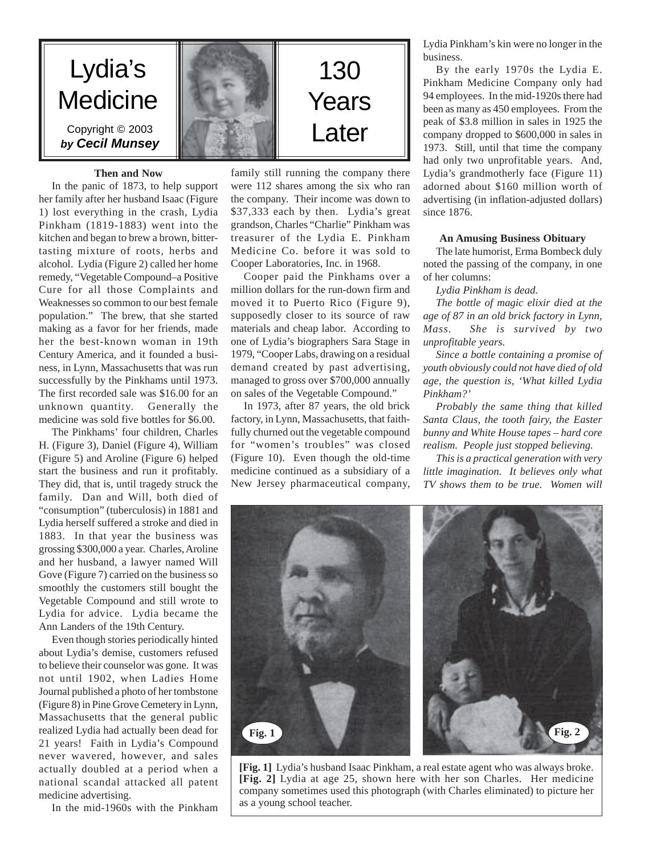

# family still running the company there were 112 shares among the six who ran the company. Their income was down to \$37,333 each by then. Lydia's great grandson, Charles "Charlie" Pinkham was treasurer of the Lydia E. Pinkham Medicine Co. before it was sold to Cooper Laboratories, Inc. in 1968.

Cooper paid the Pinkhams over a million dollars for the run-down firm and moved it to Puerto Rico (Figure 9), supposedly closer to its source of raw materials and cheap labor. According to one of Lydia's biographers Sara Stage in 1979, "Cooper Labs, drawing on a residual demand created by past advertising, managed to gross over \$700,000 annually on sales of the Vegetable Compound."

In 1973, after 87 years, the old brick factory, in Lynn, Massachusetts, that faithfully churned out the vegetable compound for "women's troubles" was closed (Figure 10). Even though the old-time medicine continued as a subsidiary of a New Jersey pharmaceutical company, Lydia Pinkham's kin were no longer in the business.

By the early 1970s the Lydia E. Pinkham Medicine Company only had 94 employees. In the mid-1920s there had been as many as 450 employees. From the peak of \$3.8 million in sales in 1925 the company dropped to \$600,000 in sales in 1973. Still, until that time the company had only two unprofitable years. And, Lydia's grandmotherly face (Figure 11) adorned about \$160 million worth of advertising (in inflation-adjusted dollars) since 1876.

## **An Amusing Business Obituary**

The late humorist, Erma Bombeck duly noted the passing of the company, in one of her columns:

*Lydia Pinkham is dead.*

*The bottle of magic elixir died at the age of 87 in an old brick factory in Lynn, Mass. She is survived by two unprofitable years.*

*Since a bottle containing a promise of youth obviously could not have died of old age, the question is, 'What killed Lydia Pinkham?'*

*Probably the same thing that killed Santa Claus, the tooth fairy, the Easter bunny and White House tapes – hard core realism. People just stopped believing.*

*This is a practical generation with very little imagination. It believes only what TV shows them to be true. Women will*



**[Fig. 1]** Lydia's husband Isaac Pinkham, a real estate agent who was always broke. **[Fig. 2]** Lydia at age 25, shown here with her son Charles. Her medicine company sometimes used this photograph (with Charles eliminated) to picture her as a young school teacher.

**Then and Now** In the panic of 1873, to help support

her family after her husband Isaac (Figure 1) lost everything in the crash, Lydia Pinkham (1819-1883) went into the kitchen and began to brew a brown, bittertasting mixture of roots, herbs and alcohol. Lydia (Figure 2) called her home remedy, "Vegetable Compound–a Positive Cure for all those Complaints and Weaknesses so common to our best female population." The brew, that she started making as a favor for her friends, made her the best-known woman in 19th Century America, and it founded a business, in Lynn, Massachusetts that was run successfully by the Pinkhams until 1973. The first recorded sale was \$16.00 for an unknown quantity. Generally the medicine was sold five bottles for \$6.00.

The Pinkhams' four children, Charles H. (Figure 3), Daniel (Figure 4), William (Figure 5) and Aroline (Figure 6) helped start the business and run it profitably. They did, that is, until tragedy struck the family. Dan and Will, both died of "consumption" (tuberculosis) in 1881 and Lydia herself suffered a stroke and died in 1883. In that year the business was grossing \$300,000 a year. Charles, Aroline and her husband, a lawyer named Will Gove (Figure 7) carried on the business so smoothly the customers still bought the Vegetable Compound and still wrote to Lydia for advice. Lydia became the Ann Landers of the 19th Century.

Even though stories periodically hinted about Lydia's demise, customers refused to believe their counselor was gone. It was not until 1902, when Ladies Home Journal published a photo of her tombstone (Figure 8) in Pine Grove Cemetery in Lynn, Massachusetts that the general public realized Lydia had actually been dead for 21 years! Faith in Lydia's Compound never wavered, however, and sales actually doubled at a period when a national scandal attacked all patent medicine advertising.

In the mid-1960s with the Pinkham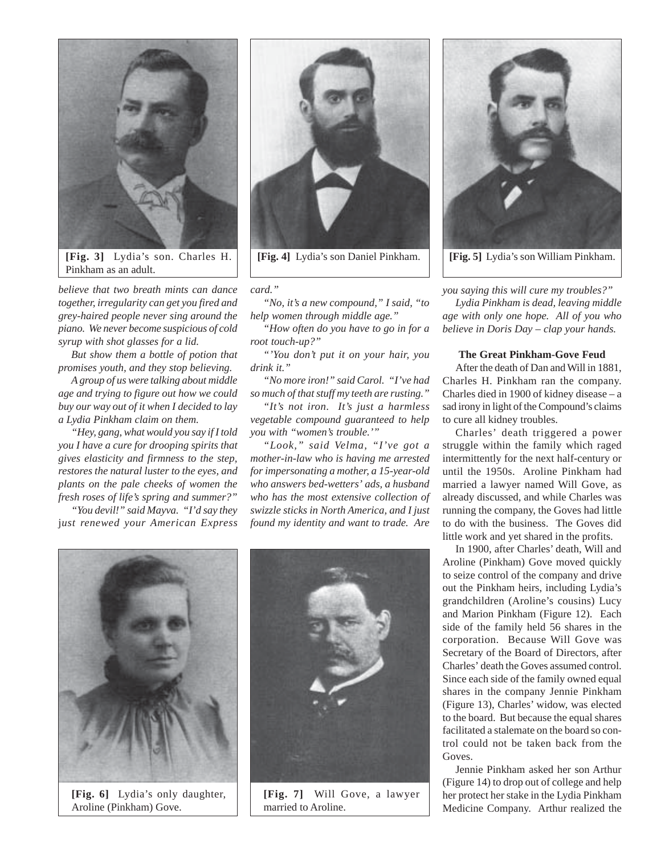

*believe that two breath mints can dance together, irregularity can get you fired and grey-haired people never sing around the piano. We never become suspicious of cold syrup with shot glasses for a lid.*

*But show them a bottle of potion that promises youth, and they stop believing.*

*A group of us were talking about middle age and trying to figure out how we could buy our way out of it when I decided to lay a Lydia Pinkham claim on them.*

*"Hey, gang, what would you say if I told you I have a cure for drooping spirits that gives elasticity and firmness to the step, restores the natural luster to the eyes, and plants on the pale cheeks of women the fresh roses of life's spring and summer?"*

*"You devil!" said Mayva. "I'd say they* j*ust renewed your American Express*



*card."*

*"No, it's a new compound," I said, "to help women through middle age."*

*"How often do you have to go in for a root touch-up?"*

*"'You don't put it on your hair, you drink it."*

*"No more iron!" said Carol. "I've had so much of that stuff my teeth are rusting."*

*"It's not iron. It's just a harmless vegetable compound guaranteed to help you with "women's trouble.'"*

*"Look," said Velma, "I've got a mother-in-law who is having me arrested for impersonating a mother, a 15-year-old who answers bed-wetters' ads, a husband who has the most extensive collection of swizzle sticks in North America, and I just found my identity and want to trade. Are*



*you saying this will cure my troubles?"*

*Lydia Pinkham is dead, leaving middle age with only one hope. All of you who believe in Doris Day – clap your hands.*

## **The Great Pinkham-Gove Feud**

After the death of Dan and Will in 1881, Charles H. Pinkham ran the company. Charles died in 1900 of kidney disease – a sad irony in light of the Compound's claims to cure all kidney troubles.

Charles' death triggered a power struggle within the family which raged intermittently for the next half-century or until the 1950s. Aroline Pinkham had married a lawyer named Will Gove, as already discussed, and while Charles was running the company, the Goves had little to do with the business. The Goves did little work and yet shared in the profits.

In 1900, after Charles' death, Will and Aroline (Pinkham) Gove moved quickly to seize control of the company and drive out the Pinkham heirs, including Lydia's grandchildren (Aroline's cousins) Lucy and Marion Pinkham (Figure 12). Each side of the family held 56 shares in the corporation. Because Will Gove was Secretary of the Board of Directors, after Charles' death the Goves assumed control. Since each side of the family owned equal shares in the company Jennie Pinkham (Figure 13), Charles' widow, was elected to the board. But because the equal shares facilitated a stalemate on the board so control could not be taken back from the Goves.

Jennie Pinkham asked her son Arthur (Figure 14) to drop out of college and help her protect her stake in the Lydia Pinkham Medicine Company. Arthur realized the



**[Fig. 6]** Lydia's only daughter, Aroline (Pinkham) Gove.



**[Fig. 7]** Will Gove, a lawyer married to Aroline.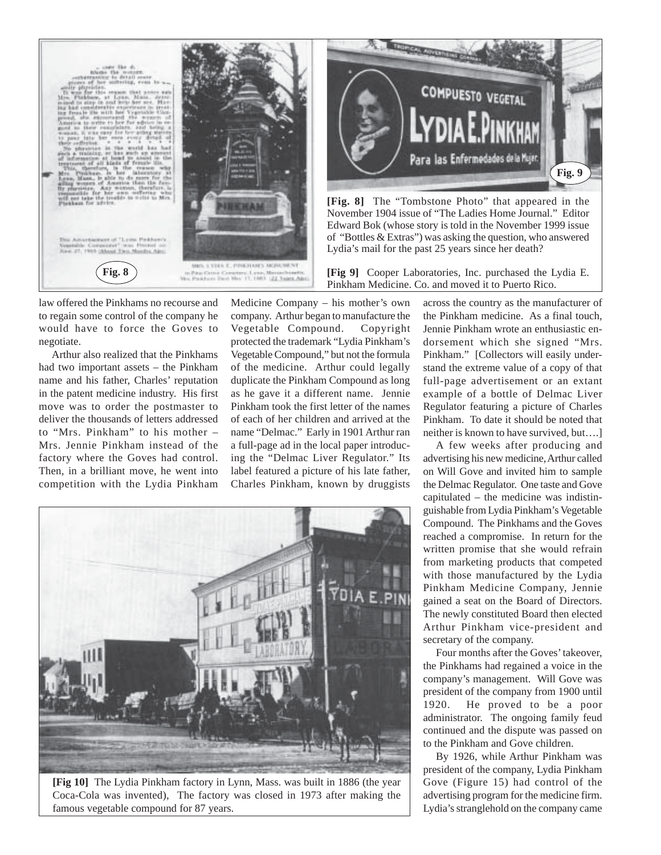

**COMPUESTO VEGETAL** Para las Enfermedades dela Mujer **Fig. 9**

**[Fig. 8]** The "Tombstone Photo" that appeared in the November 1904 issue of "The Ladies Home Journal." Editor Edward Bok (whose story is told in the November 1999 issue of "Bottles & Extras") was asking the question, who answered Lydia's mail for the past 25 years since her death?

**[Fig 9]** Cooper Laboratories, Inc. purchased the Lydia E. Pinkham Medicine. Co. and moved it to Puerto Rico.

law offered the Pinkhams no recourse and to regain some control of the company he would have to force the Goves to negotiate.

Arthur also realized that the Pinkhams had two important assets – the Pinkham name and his father, Charles' reputation in the patent medicine industry. His first move was to order the postmaster to deliver the thousands of letters addressed to "Mrs. Pinkham" to his mother – Mrs. Jennie Pinkham instead of the factory where the Goves had control. Then, in a brilliant move, he went into competition with the Lydia Pinkham

Medicine Company – his mother's own company. Arthur began to manufacture the Vegetable Compound. Copyright protected the trademark "Lydia Pinkham's Vegetable Compound," but not the formula of the medicine. Arthur could legally duplicate the Pinkham Compound as long as he gave it a different name. Jennie Pinkham took the first letter of the names of each of her children and arrived at the name "Delmac." Early in 1901 Arthur ran a full-page ad in the local paper introducing the "Delmac Liver Regulator." Its label featured a picture of his late father, Charles Pinkham, known by druggists



**[Fig 10]** The Lydia Pinkham factory in Lynn, Mass. was built in 1886 (the year Coca-Cola was invented), The factory was closed in 1973 after making the famous vegetable compound for 87 years.

across the country as the manufacturer of the Pinkham medicine. As a final touch, Jennie Pinkham wrote an enthusiastic endorsement which she signed "Mrs. Pinkham." [Collectors will easily understand the extreme value of a copy of that full-page advertisement or an extant example of a bottle of Delmac Liver Regulator featuring a picture of Charles Pinkham. To date it should be noted that neither is known to have survived, but….]

A few weeks after producing and advertising his new medicine, Arthur called on Will Gove and invited him to sample the Delmac Regulator. One taste and Gove capitulated – the medicine was indistinguishable from Lydia Pinkham's Vegetable Compound. The Pinkhams and the Goves reached a compromise. In return for the written promise that she would refrain from marketing products that competed with those manufactured by the Lydia Pinkham Medicine Company, Jennie gained a seat on the Board of Directors. The newly constituted Board then elected Arthur Pinkham vice-president and secretary of the company.

Four months after the Goves' takeover, the Pinkhams had regained a voice in the company's management. Will Gove was president of the company from 1900 until 1920. He proved to be a poor administrator. The ongoing family feud continued and the dispute was passed on to the Pinkham and Gove children.

By 1926, while Arthur Pinkham was president of the company, Lydia Pinkham Gove (Figure 15) had control of the advertising program for the medicine firm. Lydia's stranglehold on the company came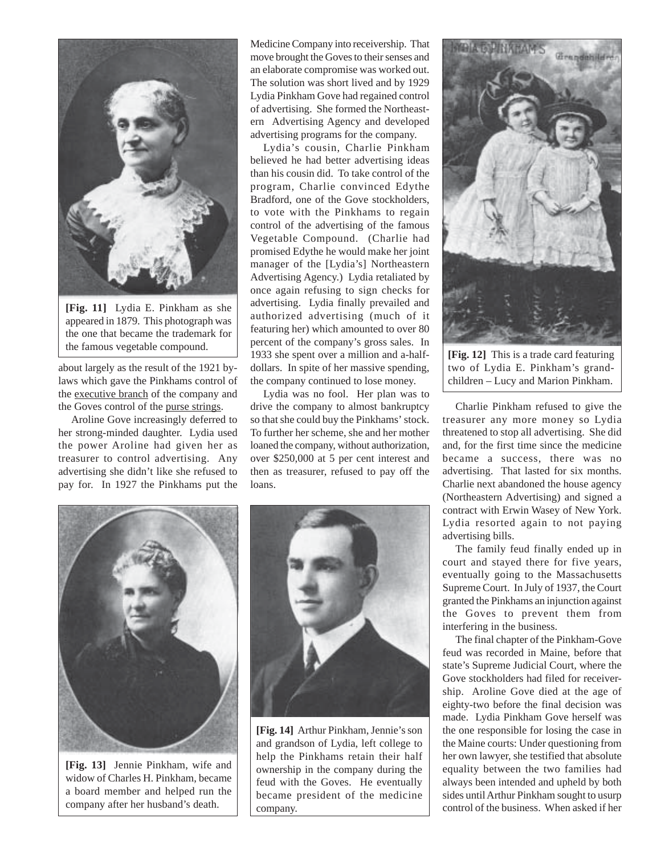

**[Fig. 11]** Lydia E. Pinkham as she appeared in 1879. This photograph was the one that became the trademark for

about largely as the result of the 1921 bylaws which gave the Pinkhams control of the executive branch of the company and the Goves control of the purse strings.

Aroline Gove increasingly deferred to her strong-minded daughter. Lydia used the power Aroline had given her as treasurer to control advertising. Any advertising she didn't like she refused to pay for. In 1927 the Pinkhams put the

Medicine Company into receivership. That move brought the Goves to their senses and an elaborate compromise was worked out. The solution was short lived and by 1929 Lydia Pinkham Gove had regained control of advertising. She formed the Northeastern Advertising Agency and developed advertising programs for the company.

the famous vegetable compound.<br>
1933 she spent over a million and a-half-**[Fig. 12]** This is a trade card featuring Lydia's cousin, Charlie Pinkham believed he had better advertising ideas than his cousin did. To take control of the program, Charlie convinced Edythe Bradford, one of the Gove stockholders, to vote with the Pinkhams to regain control of the advertising of the famous Vegetable Compound. (Charlie had promised Edythe he would make her joint manager of the [Lydia's] Northeastern Advertising Agency.) Lydia retaliated by once again refusing to sign checks for advertising. Lydia finally prevailed and authorized advertising (much of it featuring her) which amounted to over 80 percent of the company's gross sales. In dollars. In spite of her massive spending, the company continued to lose money.

Lydia was no fool. Her plan was to drive the company to almost bankruptcy so that she could buy the Pinkhams' stock. To further her scheme, she and her mother loaned the company, without authorization, over \$250,000 at 5 per cent interest and then as treasurer, refused to pay off the loans.



**[Fig. 13]** Jennie Pinkham, wife and widow of Charles H. Pinkham, became a board member and helped run the company after her husband's death.



**[Fig. 14]** Arthur Pinkham, Jennie's son and grandson of Lydia, left college to help the Pinkhams retain their half ownership in the company during the feud with the Goves. He eventually became president of the medicine company.



two of Lydia E. Pinkham's grandchildren – Lucy and Marion Pinkham.

Charlie Pinkham refused to give the treasurer any more money so Lydia threatened to stop all advertising. She did and, for the first time since the medicine became a success, there was no advertising. That lasted for six months. Charlie next abandoned the house agency (Northeastern Advertising) and signed a contract with Erwin Wasey of New York. Lydia resorted again to not paying advertising bills.

The family feud finally ended up in court and stayed there for five years, eventually going to the Massachusetts Supreme Court. In July of 1937, the Court granted the Pinkhams an injunction against the Goves to prevent them from interfering in the business.

The final chapter of the Pinkham-Gove feud was recorded in Maine, before that state's Supreme Judicial Court, where the Gove stockholders had filed for receivership. Aroline Gove died at the age of eighty-two before the final decision was made. Lydia Pinkham Gove herself was the one responsible for losing the case in the Maine courts: Under questioning from her own lawyer, she testified that absolute equality between the two families had always been intended and upheld by both sides until Arthur Pinkham sought to usurp control of the business. When asked if her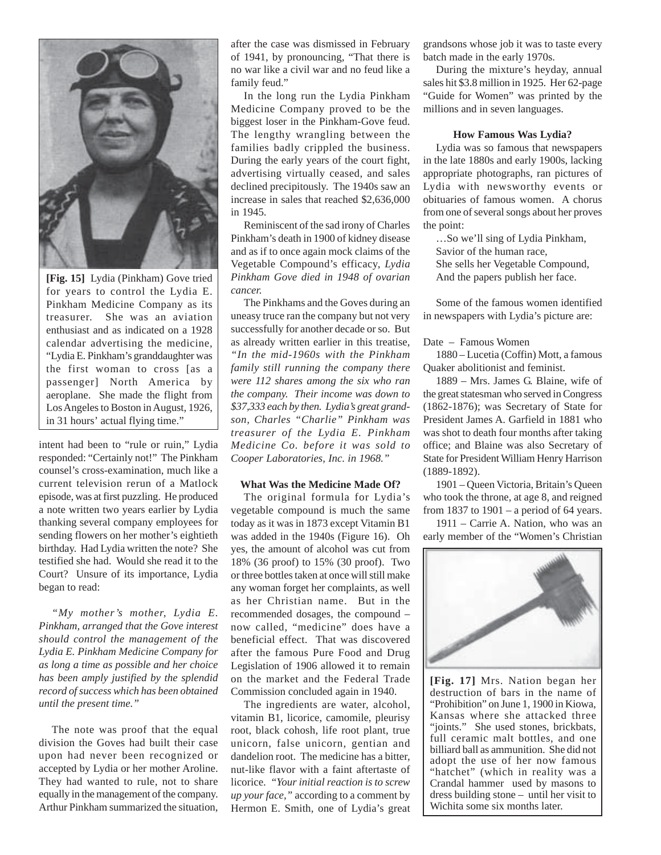

**[Fig. 15]** Lydia (Pinkham) Gove tried for years to control the Lydia E. Pinkham Medicine Company as its treasurer. She was an aviation enthusiast and as indicated on a 1928 calendar advertising the medicine, "Lydia E. Pinkham's granddaughter was the first woman to cross [as a passenger] North America by aeroplane. She made the flight from Los Angeles to Boston in August, 1926, in 31 hours' actual flying time."

intent had been to "rule or ruin," Lydia responded: "Certainly not!" The Pinkham counsel's cross-examination, much like a current television rerun of a Matlock episode, was at first puzzling. He produced a note written two years earlier by Lydia thanking several company employees for sending flowers on her mother's eightieth birthday. Had Lydia written the note? She testified she had. Would she read it to the Court? Unsure of its importance, Lydia began to read:

*"My mother's mother, Lydia E. Pinkham, arranged that the Gove interest should control the management of the Lydia E. Pinkham Medicine Company for as long a time as possible and her choice has been amply justified by the splendid record of success which has been obtained until the present time."*

The note was proof that the equal division the Goves had built their case upon had never been recognized or accepted by Lydia or her mother Aroline. They had wanted to rule, not to share equally in the management of the company. Arthur Pinkham summarized the situation,

after the case was dismissed in February of 1941, by pronouncing, "That there is no war like a civil war and no feud like a family feud."

In the long run the Lydia Pinkham Medicine Company proved to be the biggest loser in the Pinkham-Gove feud. The lengthy wrangling between the families badly crippled the business. During the early years of the court fight, advertising virtually ceased, and sales declined precipitously. The 1940s saw an increase in sales that reached \$2,636,000 in 1945.

Reminiscent of the sad irony of Charles Pinkham's death in 1900 of kidney disease and as if to once again mock claims of the Vegetable Compound's efficacy, *Lydia Pinkham Gove died in 1948 of ovarian cancer.*

The Pinkhams and the Goves during an uneasy truce ran the company but not very successfully for another decade or so. But as already written earlier in this treatise, *"In the mid-1960s with the Pinkham family still running the company there were 112 shares among the six who ran the company. Their income was down to \$37,333 each by then. Lydia's great grandson, Charles "Charlie" Pinkham was treasurer of the Lydia E. Pinkham Medicine Co. before it was sold to Cooper Laboratories, Inc. in 1968."*

#### **What Was the Medicine Made Of?**

The original formula for Lydia's vegetable compound is much the same today as it was in 1873 except Vitamin B1 was added in the 1940s (Figure 16). Oh yes, the amount of alcohol was cut from 18% (36 proof) to 15% (30 proof). Two or three bottles taken at once will still make any woman forget her complaints, as well as her Christian name. But in the recommended dosages, the compound – now called, "medicine" does have a beneficial effect. That was discovered after the famous Pure Food and Drug Legislation of 1906 allowed it to remain on the market and the Federal Trade Commission concluded again in 1940.

The ingredients are water, alcohol, vitamin B1, licorice, camomile, pleurisy root, black cohosh, life root plant, true unicorn, false unicorn, gentian and dandelion root. The medicine has a bitter, nut-like flavor with a faint aftertaste of licorice. *"Your initial reaction is to screw up your face,"* according to a comment by Hermon E. Smith, one of Lydia's great grandsons whose job it was to taste every batch made in the early 1970s.

During the mixture's heyday, annual sales hit \$3.8 million in 1925. Her 62-page "Guide for Women" was printed by the millions and in seven languages.

#### **How Famous Was Lydia?**

Lydia was so famous that newspapers in the late 1880s and early 1900s, lacking appropriate photographs, ran pictures of Lydia with newsworthy events or obituaries of famous women. A chorus from one of several songs about her proves the point:

…So we'll sing of Lydia Pinkham, Savior of the human race, She sells her Vegetable Compound, And the papers publish her face.

Some of the famous women identified in newspapers with Lydia's picture are:

#### Date – Famous Women

1880 – Lucetia (Coffin) Mott, a famous Quaker abolitionist and feminist.

1889 – Mrs. James G. Blaine, wife of the great statesman who served in Congress (1862-1876); was Secretary of State for President James A. Garfield in 1881 who was shot to death four months after taking office; and Blaine was also Secretary of State for President William Henry Harrison (1889-1892).

1901 – Queen Victoria, Britain's Queen who took the throne, at age 8, and reigned from 1837 to 1901 – a period of 64 years.

1911 – Carrie A. Nation, who was an early member of the "Women's Christian



**[Fig. 17]** Mrs. Nation began her destruction of bars in the name of "Prohibition" on June 1, 1900 in Kiowa, Kansas where she attacked three "ioints." She used stones, brickbats, full ceramic malt bottles, and one billiard ball as ammunition. She did not adopt the use of her now famous "hatchet" (which in reality was a Crandal hammer used by masons to dress building stone – until her visit to Wichita some six months later.